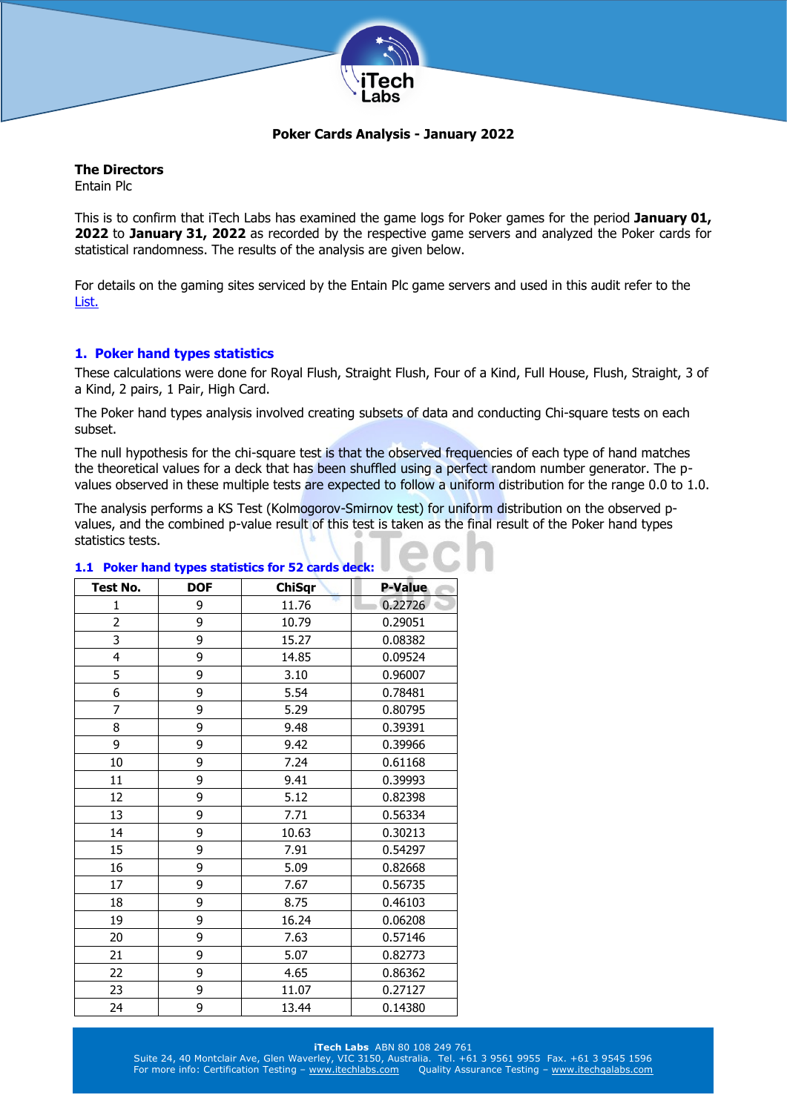

# **Poker Cards Analysis - January 2022**

# **The Directors**

Entain Plc

This is to confirm that iTech Labs has examined the game logs for Poker games for the period **January 01, 2022** to **January 31, 2022** as recorded by the respective game servers and analyzed the Poker cards for statistical randomness. The results of the analysis are given below.

For details on the gaming sites serviced by the Entain Plc game servers and used in this audit refer to the [List.](http://www.itechlabs.com/certificates/Entain/Poker_Gaming_Sites_Jan22.pdf)

# **1. Poker hand types statistics**

These calculations were done for Royal Flush, Straight Flush, Four of a Kind, Full House, Flush, Straight, 3 of a Kind, 2 pairs, 1 Pair, High Card.

The Poker hand types analysis involved creating subsets of data and conducting Chi-square tests on each subset.

The null hypothesis for the chi-square test is that the observed frequencies of each type of hand matches the theoretical values for a deck that has been shuffled using a perfect random number generator. The pvalues observed in these multiple tests are expected to follow a uniform distribution for the range 0.0 to 1.0.

The analysis performs a KS Test (Kolmogorov-Smirnov test) for uniform distribution on the observed pvalues, and the combined p-value result of this test is taken as the final result of the Poker hand types statistics tests.

| <b>Test No.</b> | <b>DOF</b> | <b>ChiSqr</b> | <b>P-Value</b> |
|-----------------|------------|---------------|----------------|
| $\mathbf{1}$    | 9          | 11.76         | 0.22726        |
| 2               | 9          | 10.79         | 0.29051        |
| 3               | 9          | 15.27         | 0.08382        |
| 4               | 9          | 14.85         | 0.09524        |
| 5               | 9          | 3.10          | 0.96007        |
| 6               | 9          | 5.54          | 0.78481        |
| 7               | 9          | 5.29          | 0.80795        |
| 8               | 9          | 9.48          | 0.39391        |
| 9               | 9          | 9.42          | 0.39966        |
| 10              | 9          | 7.24          | 0.61168        |
| 11              | 9          | 9.41          | 0.39993        |
| 12              | 9          | 5.12          | 0.82398        |
| 13              | 9          | 7.71          | 0.56334        |
| 14              | 9          | 10.63         | 0.30213        |
| 15              | 9          | 7.91          | 0.54297        |
| 16              | 9          | 5.09          | 0.82668        |
| 17              | 9          | 7.67          | 0.56735        |
| 18              | 9          | 8.75          | 0.46103        |
| 19              | 9          | 16.24         | 0.06208        |
| 20              | 9          | 7.63          | 0.57146        |
| 21              | 9          | 5.07          | 0.82773        |
| 22              | 9          | 4.65          | 0.86362        |
| 23              | 9          | 11.07         | 0.27127        |
| 24              | 9          | 13.44         | 0.14380        |

#### **1.1 Poker hand types statistics for 52 cards deck:**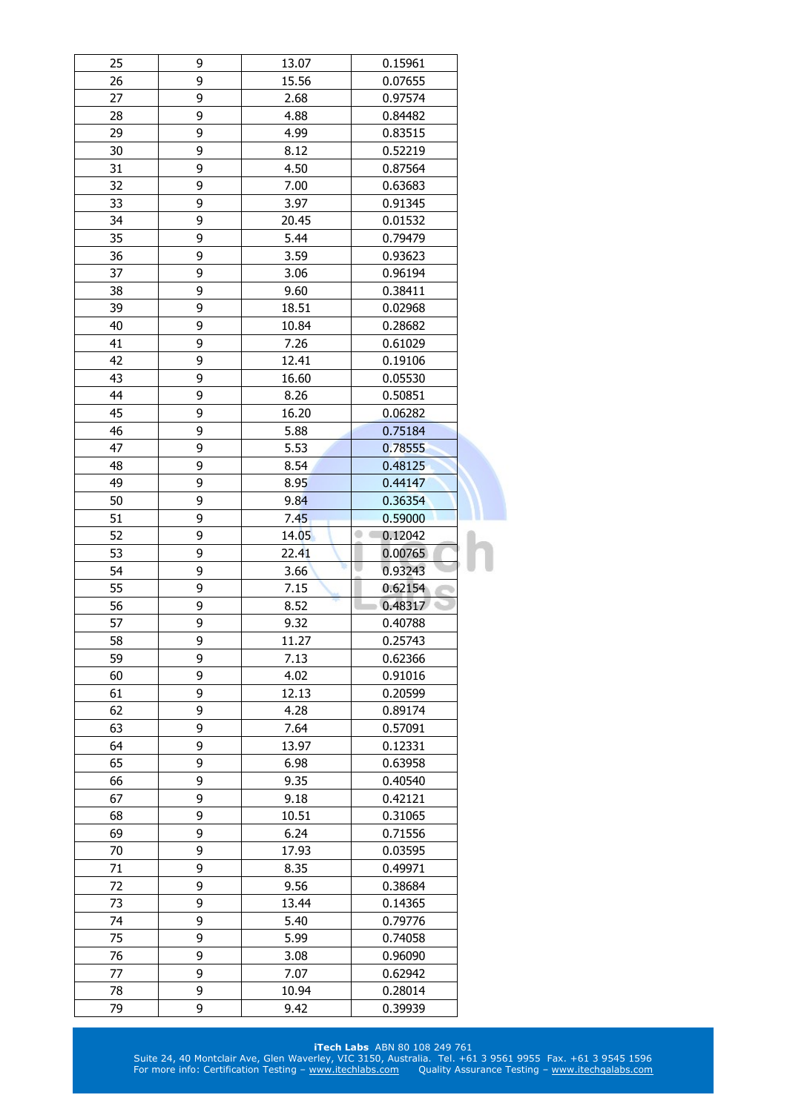| 25 | 9 | 13.07            | 0.15961      |  |
|----|---|------------------|--------------|--|
| 26 | 9 | 15.56<br>0.07655 |              |  |
| 27 | 9 | 2.68             | 0.97574      |  |
| 28 | 9 | 4.88             | 0.84482      |  |
| 29 | 9 | 4.99             | 0.83515      |  |
| 30 | 9 | 8.12             | 0.52219      |  |
| 31 | 9 | 4.50             | 0.87564      |  |
| 32 | 9 | 7.00             | 0.63683      |  |
| 33 | 9 | 3.97             | 0.91345      |  |
| 34 | 9 | 20.45            | 0.01532      |  |
| 35 | 9 | 5.44             | 0.79479      |  |
| 36 | 9 | 3.59             | 0.93623      |  |
| 37 | 9 | 3.06             | 0.96194      |  |
| 38 | 9 | 9.60             | 0.38411      |  |
| 39 | 9 | 18.51            | 0.02968      |  |
| 40 | 9 | 10.84            | 0.28682      |  |
| 41 | 9 | 7.26             | 0.61029      |  |
| 42 | 9 | 12.41            | 0.19106      |  |
| 43 | 9 | 16.60            | 0.05530      |  |
| 44 | 9 | 8.26             | 0.50851      |  |
| 45 | 9 | 16.20            | 0.06282      |  |
| 46 | 9 | 5.88             | 0.75184      |  |
| 47 | 9 | 5.53             | 0.78555      |  |
| 48 | 9 | 8.54             | 0.48125      |  |
| 49 |   |                  |              |  |
|    | 9 | 8.95             | 0.44147      |  |
| 50 | 9 | 9.84             | 0.36354      |  |
| 51 | 9 | 7.45             | 0.59000<br>۰ |  |
| 52 | 9 | 14.05            | 0.12042      |  |
| 53 | 9 | 22.41            | 0.00765      |  |
| 54 | 9 | 3.66             | 0.93243      |  |
| 55 | 9 | 7.15             | 0.62154      |  |
| 56 | 9 | 8.52             | 0.48317      |  |
| 57 | 9 | 9.32             | 0.40788      |  |
| 58 | 9 | 11.27            | 0.25743      |  |
| 59 | 9 | 7.13             | 0.62366      |  |
| 60 | 9 | 4.02             | 0.91016      |  |
| 61 | 9 | 12.13            | 0.20599      |  |
| 62 | 9 | 4.28             | 0.89174      |  |
| 63 | 9 | 7.64             | 0.57091      |  |
| 64 | 9 | 13.97            | 0.12331      |  |
| 65 | 9 | 6.98             | 0.63958      |  |
| 66 | 9 | 9.35             | 0.40540      |  |
| 67 | 9 | 9.18             | 0.42121      |  |
| 68 | 9 | 10.51            | 0.31065      |  |
|    |   |                  |              |  |
| 69 | 9 | 6.24             | 0.71556      |  |
| 70 | 9 | 17.93            | 0.03595      |  |
| 71 | 9 | 8.35             | 0.49971      |  |
| 72 | 9 | 9.56             | 0.38684      |  |
| 73 | 9 | 13.44            | 0.14365      |  |
| 74 | 9 | 5.40             | 0.79776      |  |
| 75 | 9 | 5.99             | 0.74058      |  |
| 76 | 9 | 3.08             | 0.96090      |  |
| 77 | 9 | 7.07             | 0.62942      |  |
| 78 | 9 | 10.94            | 0.28014      |  |
| 79 | 9 | 9.42             | 0.39939      |  |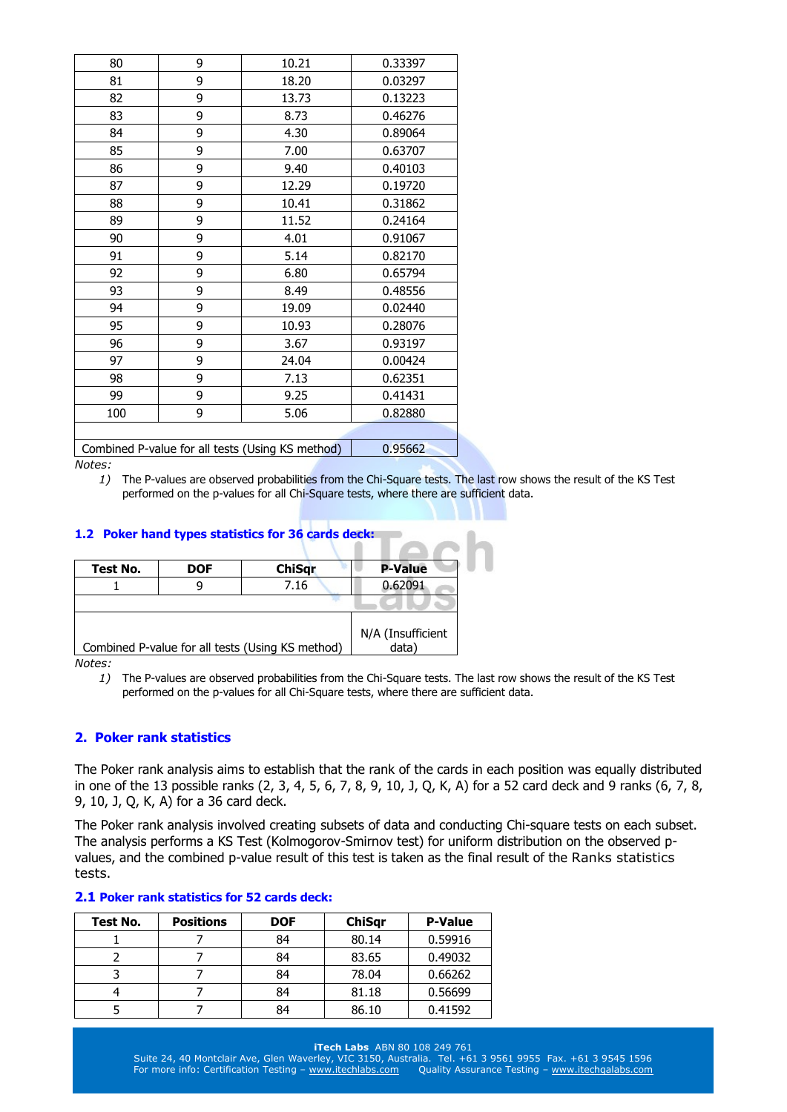| 80                                               | 9       | 10.21 | 0.33397 |
|--------------------------------------------------|---------|-------|---------|
| 81                                               | 9       | 18.20 | 0.03297 |
| 82                                               | 9       | 13.73 | 0.13223 |
| 83                                               | 9       | 8.73  | 0.46276 |
| 84                                               | 9       | 4.30  | 0.89064 |
| 85                                               | 9       | 7.00  | 0.63707 |
| 86                                               | 9       | 9.40  | 0.40103 |
| 87                                               | 9       | 12.29 | 0.19720 |
| 88                                               | 9       | 10.41 | 0.31862 |
| 89                                               | 9       | 11.52 | 0.24164 |
| 90                                               | 9       | 4.01  | 0.91067 |
| 91                                               | 9       | 5.14  | 0.82170 |
| 92                                               | 9       | 6.80  | 0.65794 |
| 93                                               | 9       | 8.49  | 0.48556 |
| 94                                               | 9       | 19.09 | 0.02440 |
| 95                                               | 9       | 10.93 | 0.28076 |
| 96                                               | 9       | 3.67  | 0.93197 |
| 97                                               | 9       | 24.04 | 0.00424 |
| 98                                               | 9       | 7.13  | 0.62351 |
| 99                                               | 9       | 9.25  | 0.41431 |
| 100                                              | 9       | 5.06  | 0.82880 |
|                                                  |         |       |         |
| Combined P-value for all tests (Using KS method) | 0.95662 |       |         |

*1)* The P-values are observed probabilities from the Chi-Square tests. The last row shows the result of the KS Test performed on the p-values for all Chi-Square tests, where there are sufficient data.

## **1.2 Poker hand types statistics for 36 cards deck:**

| Test No. | <b>DOF</b> | <b>ChiSgr</b>                                    | <b>P-Value</b>            |
|----------|------------|--------------------------------------------------|---------------------------|
|          |            | 7.16                                             | 0.62091                   |
|          |            |                                                  |                           |
|          |            | Combined P-value for all tests (Using KS method) | N/A (Insufficient<br>data |

*Notes:* 

*1)* The P-values are observed probabilities from the Chi-Square tests. The last row shows the result of the KS Test performed on the p-values for all Chi-Square tests, where there are sufficient data.

## **2. Poker rank statistics**

The Poker rank analysis aims to establish that the rank of the cards in each position was equally distributed in one of the 13 possible ranks (2, 3, 4, 5, 6, 7, 8, 9, 10, J, Q, K, A) for a 52 card deck and 9 ranks (6, 7, 8, 9, 10, J, Q, K, A) for a 36 card deck.

The Poker rank analysis involved creating subsets of data and conducting Chi-square tests on each subset. The analysis performs a KS Test (Kolmogorov-Smirnov test) for uniform distribution on the observed pvalues, and the combined p-value result of this test is taken as the final result of the Ranks statistics tests.

#### **2.1 Poker rank statistics for 52 cards deck:**

| Test No. | <b>Positions</b> | <b>DOF</b> | <b>ChiSqr</b> | <b>P-Value</b> |
|----------|------------------|------------|---------------|----------------|
|          |                  | 84         | 80.14         | 0.59916        |
|          |                  | 84         | 83.65         | 0.49032        |
|          |                  | 84         | 78.04         | 0.66262        |
|          |                  | 84         | 81.18         | 0.56699        |
|          |                  | 84         | 86.10         | 0.41592        |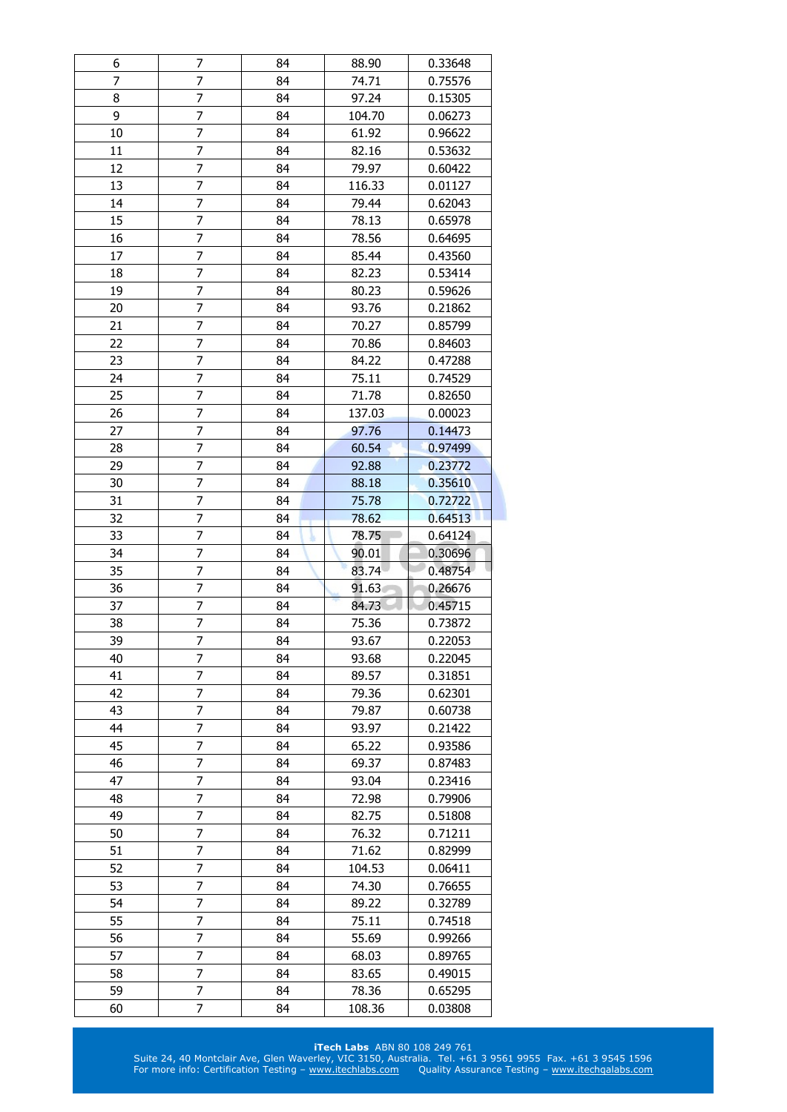| 6        | 7              | 84       | 88.90           | 0.33648            |
|----------|----------------|----------|-----------------|--------------------|
| 7        | 7              | 84       | 74.71           | 0.75576            |
| 8        | 7              | 84       | 97.24           | 0.15305            |
| 9        | 7              | 84       | 104.70          | 0.06273            |
| 10       | 7              | 84       | 61.92           | 0.96622            |
| 11       | 7              | 84       | 82.16           | 0.53632            |
| 12       | 7              | 84       | 79.97           | 0.60422            |
| 13       | 7              | 84       | 116.33          | 0.01127            |
| 14       | $\overline{7}$ | 84       | 79.44           | 0.62043            |
| 15       | $\overline{7}$ | 84       | 78.13           | 0.65978            |
| 16       | 7              | 84       | 78.56           | 0.64695            |
| 17       | 7              | 84       | 85.44           | 0.43560            |
| 18       | 7              | 84       | 82.23           | 0.53414            |
| 19       | 7              | 84       | 80.23           | 0.59626            |
| 20       | 7              | 84       | 93.76           | 0.21862            |
| 21       | 7              | 84       | 70.27           | 0.85799            |
| 22       | 7              | 84       | 70.86           | 0.84603            |
| 23       | 7              | 84       | 84.22           | 0.47288            |
| 24       | 7              | 84       |                 | 0.74529            |
|          | 7              |          | 75.11           |                    |
| 25       |                | 84       | 71.78           | 0.82650            |
| 26       | 7              | 84       | 137.03          | 0.00023            |
| 27       | 7              | 84       | 97.76           | 0.14473            |
| 28       | 7              | 84       | 60.54           | 0.97499            |
| 29       | $\overline{7}$ | 84       | 92.88           | 0.23772            |
| 30       | $\overline{7}$ | 84       | 88.18           | 0.35610            |
| 31       | 7              | 84       | 75.78           | 0.72722            |
| 32       | 7              | 84       | 78.62           | 0.64513            |
| 33       | $\overline{7}$ | 84       | 78.75           | 0.64124            |
|          |                |          |                 |                    |
| 34       | 7              | 84       | 90.01           | 0.30696            |
| 35       | 7              | 84       | 83.74           | 0.48754            |
| 36       | 7              | 84       | 91.63           | 0.26676            |
| 37       | 7              | 84       | 84.73           | 0.45715            |
| 38       | 7              | 84       | 75.36           | 0.73872            |
| 39       | $\overline{7}$ | 84       | 93.67           | 0.22053            |
| 40       | 7              | 84       | 93.68           | 0.22045            |
| 41       | 7              | 84       | 89.57           | 0.31851            |
| 42       | 7              | 84       | 79.36           | 0.62301            |
| 43       | 7              | 84       | 79.87           | 0.60738            |
| 44       | 7              | 84       | 93.97           | 0.21422            |
| 45       | 7              | 84       | 65.22           | 0.93586            |
| 46       | 7              | 84       | 69.37           | 0.87483            |
| 47       | 7              | 84       | 93.04           | 0.23416            |
| 48       | 7              | 84       | 72.98           | 0.79906            |
| 49       | 7              | 84       | 82.75           | 0.51808            |
| 50       | 7              | 84       | 76.32           | 0.71211            |
| 51       | 7              | 84       | 71.62           | 0.82999            |
| 52       | 7              | 84       | 104.53          | 0.06411            |
| 53       | 7              | 84       | 74.30           | 0.76655            |
| 54       | 7              | 84       | 89.22           | 0.32789            |
| 55       | 7              | 84       |                 | 0.74518            |
| 56       | 7              | 84       | 75.11           |                    |
|          |                |          | 55.69           | 0.99266            |
| 57       | 7              | 84<br>84 | 68.03           | 0.89765            |
| 58       | 7              | 84       | 83.65           | 0.49015            |
| 59<br>60 | 7<br>7         | 84       | 78.36<br>108.36 | 0.65295<br>0.03808 |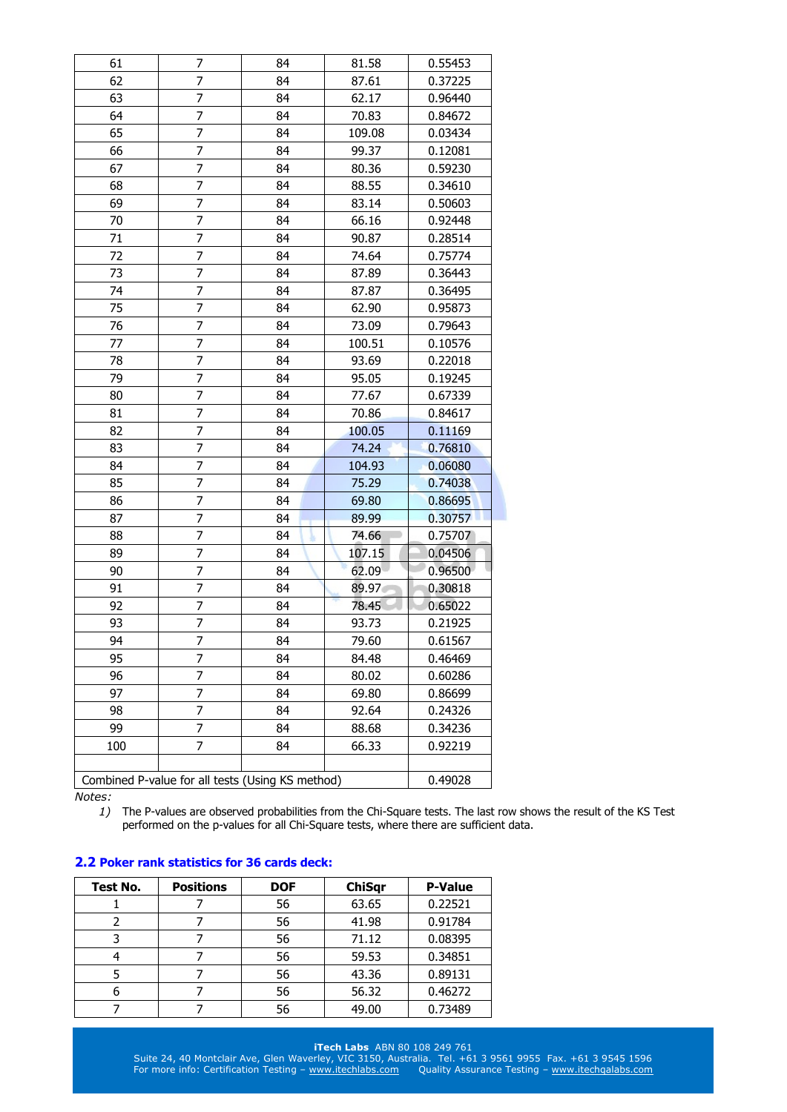| 61  | 7                                                | 84 | 81.58  | 0.55453 |
|-----|--------------------------------------------------|----|--------|---------|
| 62  | 7                                                | 84 | 87.61  | 0.37225 |
| 63  | 7                                                | 84 | 62.17  | 0.96440 |
| 64  | 7                                                | 84 | 70.83  | 0.84672 |
| 65  | 7                                                | 84 | 109.08 | 0.03434 |
| 66  | 7                                                | 84 | 99.37  | 0.12081 |
| 67  | 7                                                | 84 | 80.36  | 0.59230 |
| 68  | 7                                                | 84 | 88.55  | 0.34610 |
| 69  | 7                                                | 84 | 83.14  | 0.50603 |
| 70  | 7                                                | 84 | 66.16  | 0.92448 |
| 71  | 7                                                | 84 | 90.87  | 0.28514 |
| 72  | 7                                                | 84 | 74.64  | 0.75774 |
| 73  | $\overline{7}$                                   | 84 | 87.89  | 0.36443 |
| 74  | 7                                                | 84 | 87.87  | 0.36495 |
| 75  | 7                                                | 84 | 62.90  | 0.95873 |
| 76  | $\overline{7}$                                   | 84 | 73.09  | 0.79643 |
| 77  | 7                                                | 84 | 100.51 | 0.10576 |
| 78  | 7                                                | 84 | 93.69  | 0.22018 |
| 79  | 7                                                | 84 | 95.05  | 0.19245 |
| 80  | 7                                                | 84 | 77.67  | 0.67339 |
| 81  | 7                                                | 84 | 70.86  | 0.84617 |
| 82  | 7                                                | 84 | 100.05 | 0.11169 |
| 83  | 7                                                | 84 | 74.24  | 0.76810 |
| 84  | 7                                                | 84 | 104.93 | 0.06080 |
| 85  | 7                                                | 84 | 75.29  | 0.74038 |
| 86  | 7                                                | 84 | 69.80  | 0.86695 |
| 87  | 7                                                | 84 | 89.99  | 0.30757 |
| 88  | $\overline{7}$                                   | 84 | 74.66  | 0.75707 |
| 89  | 7                                                | 84 | 107.15 | 0.04506 |
| 90  | 7                                                | 84 | 62.09  | 0.96500 |
| 91  | 7                                                | 84 | 89.97  | 0.30818 |
| 92  | 7                                                | 84 | 78.45  | 0.65022 |
| 93  | 7                                                | 84 | 93.73  | 0.21925 |
| 94  | $\overline{7}$                                   | 84 | 79.60  | 0.61567 |
| 95  | 7                                                | 84 | 84.48  | 0.46469 |
| 96  | 7                                                | 84 | 80.02  | 0.60286 |
| 97  | 7                                                | 84 | 69.80  | 0.86699 |
| 98  | 7                                                | 84 | 92.64  | 0.24326 |
| 99  | 7                                                | 84 | 88.68  | 0.34236 |
| 100 | 7                                                | 84 | 66.33  | 0.92219 |
|     |                                                  |    |        |         |
|     | Combined P-value for all tests (Using KS method) |    |        | 0.49028 |
|     |                                                  |    |        |         |

*1)* The P-values are observed probabilities from the Chi-Square tests. The last row shows the result of the KS Test performed on the p-values for all Chi-Square tests, where there are sufficient data.

# **2.2 Poker rank statistics for 36 cards deck:**

| Test No. | <b>Positions</b> | <b>DOF</b> | <b>ChiSqr</b> | <b>P-Value</b> |
|----------|------------------|------------|---------------|----------------|
|          |                  | 56         | 63.65         | 0.22521        |
|          |                  | 56         | 41.98         | 0.91784        |
|          |                  | 56         | 71.12         | 0.08395        |
|          |                  | 56         | 59.53         | 0.34851        |
|          |                  | 56         | 43.36         | 0.89131        |
|          |                  | 56         | 56.32         | 0.46272        |
|          |                  | 56         | 49.00         | 0.73489        |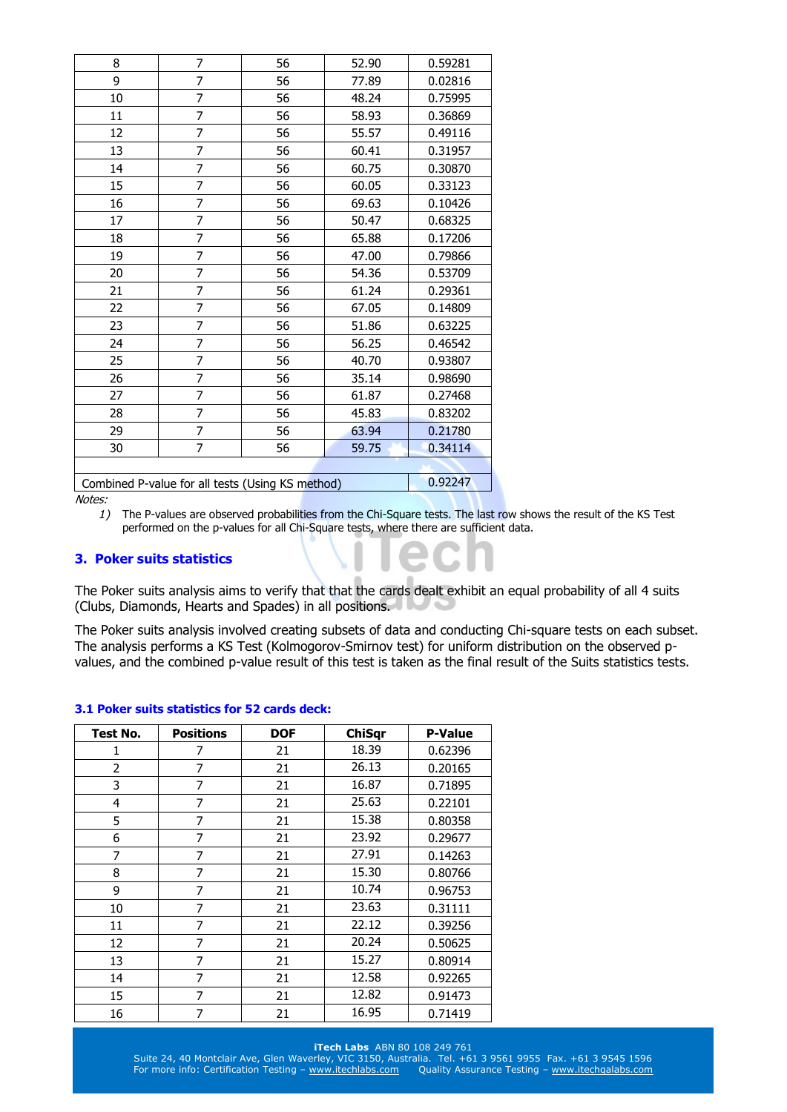| 8  | 7                                                | 56 | 52.90 | 0.59281 |
|----|--------------------------------------------------|----|-------|---------|
| 9  | $\overline{7}$                                   | 56 | 77.89 | 0.02816 |
| 10 | 7                                                | 56 | 48.24 | 0.75995 |
| 11 | $\overline{7}$                                   | 56 | 58.93 | 0.36869 |
| 12 | $\overline{7}$                                   | 56 | 55.57 | 0.49116 |
| 13 | $\overline{7}$                                   | 56 | 60.41 | 0.31957 |
| 14 | 7                                                | 56 | 60.75 | 0.30870 |
| 15 | $\overline{7}$                                   | 56 | 60.05 | 0.33123 |
| 16 | 7                                                | 56 | 69.63 | 0.10426 |
| 17 | $\overline{7}$                                   | 56 | 50.47 | 0.68325 |
| 18 | 7                                                | 56 | 65.88 | 0.17206 |
| 19 | $\overline{7}$                                   | 56 | 47.00 | 0.79866 |
| 20 | 7                                                | 56 | 54.36 | 0.53709 |
| 21 | 7                                                | 56 | 61.24 | 0.29361 |
| 22 | 7                                                | 56 | 67.05 | 0.14809 |
| 23 | 7                                                | 56 | 51.86 | 0.63225 |
| 24 | 7                                                | 56 | 56.25 | 0.46542 |
| 25 | 7                                                | 56 | 40.70 | 0.93807 |
| 26 | 7                                                | 56 | 35.14 | 0.98690 |
| 27 | $\overline{7}$                                   | 56 | 61.87 | 0.27468 |
| 28 | $\overline{7}$                                   | 56 | 45.83 | 0.83202 |
| 29 | $\overline{7}$                                   | 56 | 63.94 | 0.21780 |
| 30 | 7                                                | 56 | 59.75 | 0.34114 |
|    |                                                  |    |       |         |
|    | Combined P-value for all tests (Using KS method) |    |       | 0.92247 |

*1)* The P-values are observed probabilities from the Chi-Square tests. The last row shows the result of the KS Test performed on the p-values for all Chi-Square tests, where there are sufficient data.

# **3. Poker suits statistics**

The Poker suits analysis aims to verify that that the cards dealt exhibit an equal probability of all 4 suits (Clubs, Diamonds, Hearts and Spades) in all positions.

The Poker suits analysis involved creating subsets of data and conducting Chi-square tests on each subset. The analysis performs a KS Test (Kolmogorov-Smirnov test) for uniform distribution on the observed pvalues, and the combined p-value result of this test is taken as the final result of the Suits statistics tests.

#### **3.1 Poker suits statistics for 52 cards deck:**

| Test No.       | <b>Positions</b> | <b>DOF</b> | <b>ChiSqr</b> | <b>P-Value</b> |
|----------------|------------------|------------|---------------|----------------|
| 1              | 7                | 21         | 18.39         | 0.62396        |
| $\overline{2}$ | 7                | 21         | 26.13         | 0.20165        |
| 3              | 7                | 21         | 16.87         | 0.71895        |
| 4              | 7                | 21         | 25.63         | 0.22101        |
| 5              | 7                | 21         | 15.38         | 0.80358        |
| 6              | 7                | 21         | 23.92         | 0.29677        |
| 7              | 7                | 21         | 27.91         | 0.14263        |
| 8              | 7                | 21         | 15.30         | 0.80766        |
| 9              | 7                | 21         | 10.74         | 0.96753        |
| 10             | 7                | 21         | 23.63         | 0.31111        |
| 11             | 7                | 21         | 22.12         | 0.39256        |
| 12             | 7                | 21         | 20.24         | 0.50625        |
| 13             | 7                | 21         | 15.27         | 0.80914        |
| 14             | 7                | 21         | 12.58         | 0.92265        |
| 15             | 7                | 21         | 12.82         | 0.91473        |
| 16             | 7                | 21         | 16.95         | 0.71419        |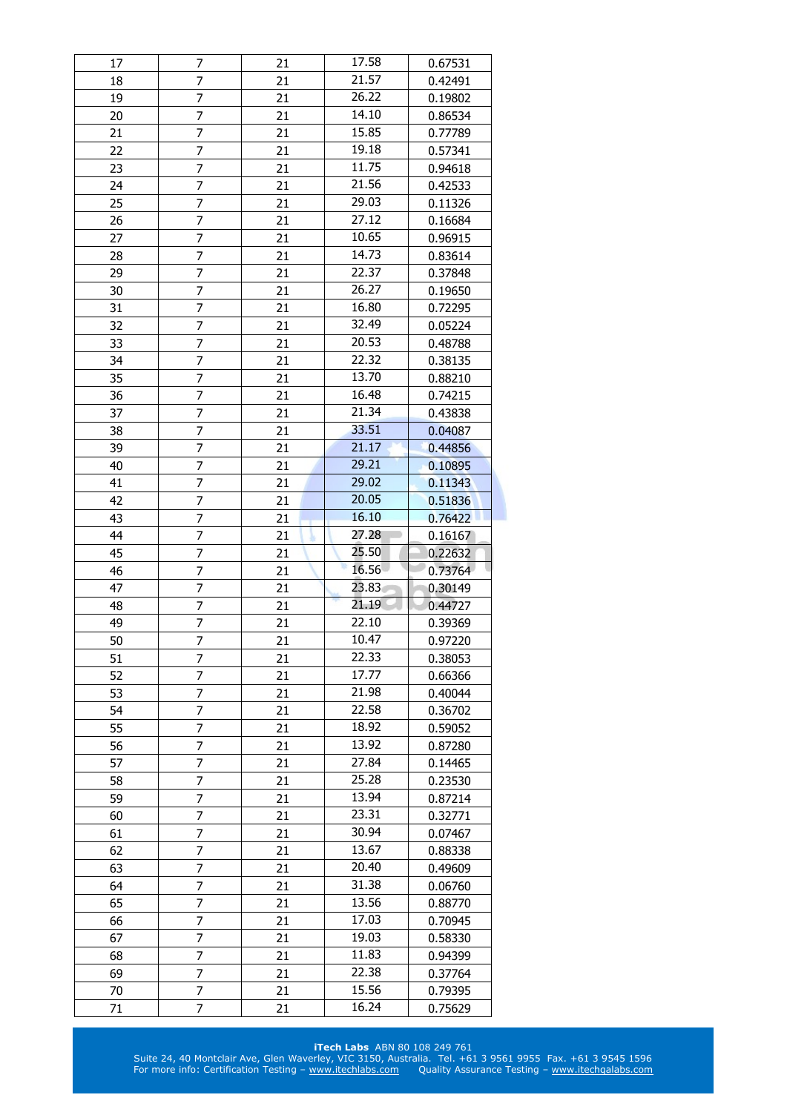| 17       | 7              | 21       | 17.58          | 0.67531            |
|----------|----------------|----------|----------------|--------------------|
| 18       | 7              | 21       | 21.57          | 0.42491            |
| 19       | 7              | 21       | 26.22          | 0.19802            |
| 20       | 7              | 21       | 14.10          | 0.86534            |
| 21       | $\overline{7}$ | 21       | 15.85          | 0.77789            |
| 22       | 7              | 21       | 19.18          | 0.57341            |
| 23       | 7              | 21       | 11.75          | 0.94618            |
| 24       | $\overline{7}$ | 21       | 21.56          | 0.42533            |
| 25       | 7              | 21       | 29.03          | 0.11326            |
| 26       | 7              | 21       | 27.12          | 0.16684            |
| 27       | 7              | 21       | 10.65          | 0.96915            |
| 28       | 7              | 21       | 14.73          | 0.83614            |
| 29       | 7              | 21       | 22.37          | 0.37848            |
| 30       | $\overline{7}$ | 21       | 26.27          | 0.19650            |
| 31       | 7              | 21       | 16.80          | 0.72295            |
| 32       | 7              | 21       | 32.49          | 0.05224            |
| 33       | $\overline{7}$ | 21       | 20.53          | 0.48788            |
| 34       | 7              | 21       | 22.32          | 0.38135            |
|          | 7              |          | 13.70          |                    |
| 35       | $\overline{7}$ | 21       | 16.48          | 0.88210            |
| 36       |                | 21       | 21.34          | 0.74215            |
| 37       | 7              | 21       |                | 0.43838            |
| 38       | 7              | 21       | 33.51          | 0.04087            |
| 39       | 7              | 21       | 21.17          | 0.44856            |
| 40       | 7              | 21       | 29.21          | 0.10895            |
| 41       | 7              | 21       | 29.02          | 0.11343            |
| 42       | 7              | 21       | 20.05          | 0.51836            |
| 43       | $\overline{7}$ | 21       | 16.10          | 0.76422            |
| 44       |                |          |                |                    |
|          | 7              | 21       | 27.28          | 0.16167            |
| 45       | 7              | 21       | 25.50          | 0.22632            |
| 46       | $\overline{7}$ | 21       | 16.56          | 0.73764            |
| 47       | 7              | 21       | 23.83          | 0.30149            |
| 48       | 7              | 21       | 21.19          | 0.44727            |
| 49       | $\overline{7}$ | 21       | 22.10          | 0.39369            |
| 50       | $\overline{7}$ | 21       | 10.47          | 0.97220            |
| 51       | 7              | 21       | 22.33          | 0.38053            |
| 52       | 7              | 21       | 17.77          | 0.66366            |
| 53       | 7              | 21       | 21.98          | 0.40044            |
| 54       | 7              | 21       | 22.58          | 0.36702            |
| 55       | $\overline{7}$ | 21       | 18.92          | 0.59052            |
| 56       | 7              | 21       | 13.92          | 0.87280            |
| 57       | 7              | 21       | 27.84          | 0.14465            |
| 58       | 7              | 21       | 25.28          | 0.23530            |
| 59       | 7              | 21       | 13.94          | 0.87214            |
| 60       | 7              | 21       | 23.31          | 0.32771            |
| 61       | 7              | 21       | 30.94          | 0.07467            |
| 62       | 7              | 21       | 13.67          | 0.88338            |
| 63       | 7              | 21       | 20.40          | 0.49609            |
| 64       | $\overline{7}$ | 21       | 31.38          | 0.06760            |
| 65       | 7              | 21       | 13.56          | 0.88770            |
| 66       | 7              | 21       | 17.03          | 0.70945            |
| 67       | $\overline{7}$ | 21       | 19.03          | 0.58330            |
|          |                |          | 11.83          |                    |
| 68       | 7              | 21       |                | 0.94399            |
| 69       | 7              | 21       | 22.38          | 0.37764            |
| 70<br>71 | 7<br>7         | 21<br>21 | 15.56<br>16.24 | 0.79395<br>0.75629 |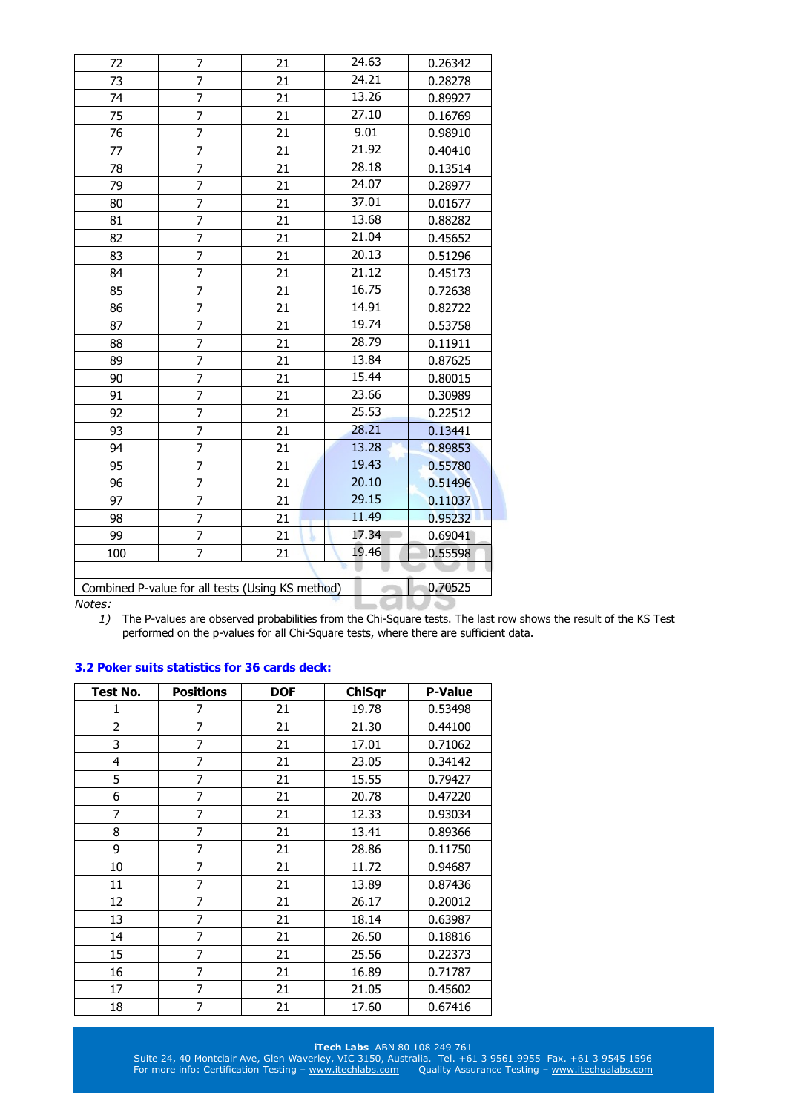| 72     | 7                                                | 21 | 24.63 | 0.26342 |
|--------|--------------------------------------------------|----|-------|---------|
| 73     | $\overline{7}$                                   | 21 | 24.21 | 0.28278 |
| 74     | 7                                                | 21 | 13.26 | 0.89927 |
| 75     | $\overline{7}$                                   | 21 | 27.10 | 0.16769 |
| 76     | $\overline{7}$                                   | 21 | 9.01  | 0.98910 |
| 77     | $\overline{7}$                                   | 21 | 21.92 | 0.40410 |
| 78     | 7                                                | 21 | 28.18 | 0.13514 |
| 79     | 7                                                | 21 | 24.07 | 0.28977 |
| 80     | 7                                                | 21 | 37.01 | 0.01677 |
| 81     | $\overline{7}$                                   | 21 | 13.68 | 0.88282 |
| 82     | $\overline{7}$                                   | 21 | 21.04 | 0.45652 |
| 83     | $\overline{7}$                                   | 21 | 20.13 | 0.51296 |
| 84     | $\overline{7}$                                   | 21 | 21.12 | 0.45173 |
| 85     | 7                                                | 21 | 16.75 | 0.72638 |
| 86     | $\overline{7}$                                   | 21 | 14.91 | 0.82722 |
| 87     | 7                                                | 21 | 19.74 | 0.53758 |
| 88     | $\overline{7}$                                   | 21 | 28.79 | 0.11911 |
| 89     | $\overline{7}$                                   | 21 | 13.84 | 0.87625 |
| 90     | 7                                                | 21 | 15.44 | 0.80015 |
| 91     | 7                                                | 21 | 23.66 | 0.30989 |
| 92     | $\overline{7}$                                   | 21 | 25.53 | 0.22512 |
| 93     | $\overline{7}$                                   | 21 | 28.21 | 0.13441 |
| 94     | $\overline{7}$                                   | 21 | 13.28 | 0.89853 |
| 95     | $\overline{7}$                                   | 21 | 19.43 | 0.55780 |
| 96     | $\overline{7}$                                   | 21 | 20.10 | 0.51496 |
| 97     | 7                                                | 21 | 29.15 | 0.11037 |
| 98     | $\overline{7}$                                   | 21 | 11.49 | 0.95232 |
| 99     | $\overline{7}$                                   | 21 | 17.34 | 0.69041 |
| 100    | $\overline{7}$                                   | 21 | 19.46 | 0.55598 |
|        |                                                  |    |       |         |
|        | Combined P-value for all tests (Using KS method) |    |       | 0.70525 |
| Notes: |                                                  |    |       |         |

*1)* The P-values are observed probabilities from the Chi-Square tests. The last row shows the result of the KS Test performed on the p-values for all Chi-Square tests, where there are sufficient data.

# **3.2 Poker suits statistics for 36 cards deck:**

| Test No.       | <b>Positions</b> | <b>DOF</b> | <b>ChiSqr</b> | <b>P-Value</b> |
|----------------|------------------|------------|---------------|----------------|
| 1              | 7                | 21         | 19.78         | 0.53498        |
| 2              | 7                | 21         | 21.30         | 0.44100        |
| 3              | 7                | 21         | 17.01         | 0.71062        |
| $\overline{4}$ | 7                | 21         | 23.05         | 0.34142        |
| 5              | 7                | 21         | 15.55         | 0.79427        |
| 6              | 7                | 21         | 20.78         | 0.47220        |
| 7              | 7                | 21         | 12.33         | 0.93034        |
| 8              | 7                | 21         | 13.41         | 0.89366        |
| 9              | 7                | 21         | 28.86         | 0.11750        |
| 10             | 7                | 21         | 11.72         | 0.94687        |
| 11             | 7                | 21         | 13.89         | 0.87436        |
| 12             | 7                | 21         | 26.17         | 0.20012        |
| 13             | 7                | 21         | 18.14         | 0.63987        |
| 14             | 7                | 21         | 26.50         | 0.18816        |
| 15             | 7                | 21         | 25.56         | 0.22373        |
| 16             | 7                | 21         | 16.89         | 0.71787        |
| 17             | 7                | 21         | 21.05         | 0.45602        |
| 18             | 7                | 21         | 17.60         | 0.67416        |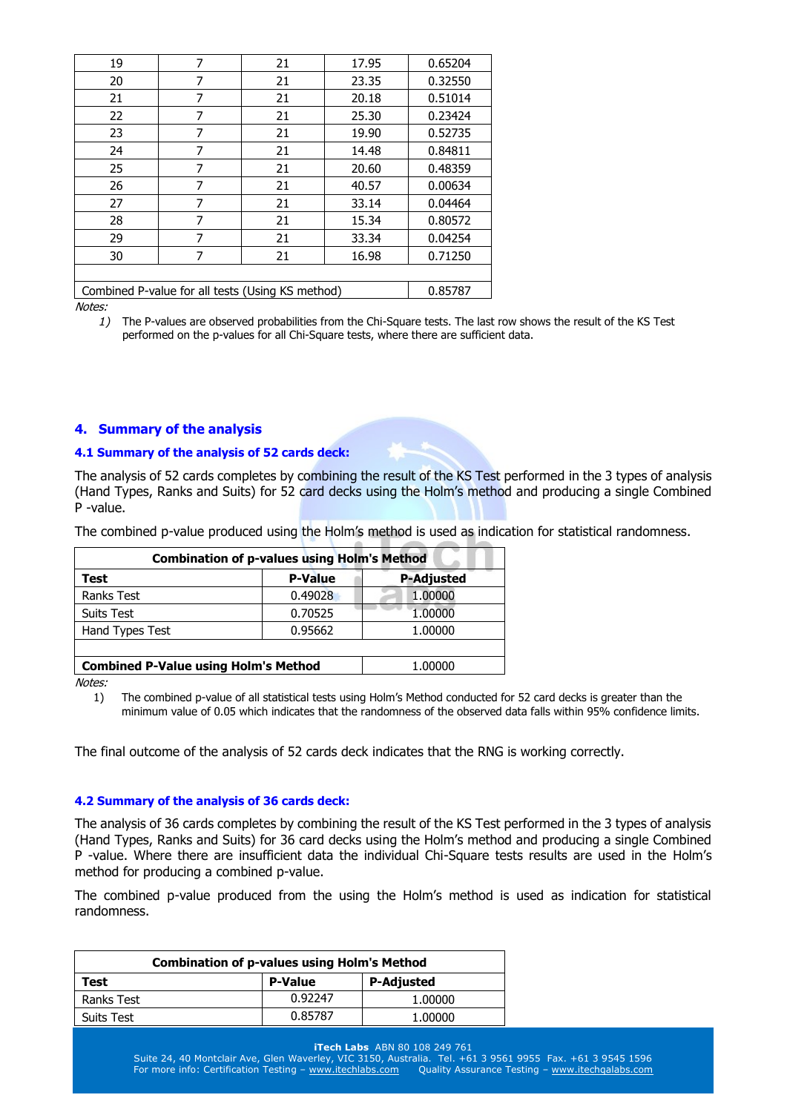| 19                                               | 7 | 21 | 17.95 | 0.65204 |
|--------------------------------------------------|---|----|-------|---------|
| 20                                               | 7 | 21 | 23.35 | 0.32550 |
| 21                                               | 7 | 21 | 20.18 | 0.51014 |
| 22                                               | 7 | 21 | 25.30 | 0.23424 |
| 23                                               | 7 | 21 | 19.90 | 0.52735 |
| 24                                               | 7 | 21 | 14.48 | 0.84811 |
| 25                                               | 7 | 21 | 20.60 | 0.48359 |
| 26                                               | 7 | 21 | 40.57 | 0.00634 |
| 27                                               | 7 | 21 | 33.14 | 0.04464 |
| 28                                               | 7 | 21 | 15.34 | 0.80572 |
| 29                                               | 7 | 21 | 33.34 | 0.04254 |
| 30                                               | 7 | 21 | 16.98 | 0.71250 |
|                                                  |   |    |       |         |
| Combined P-value for all tests (Using KS method) |   |    |       | 0.85787 |

*1)* The P-values are observed probabilities from the Chi-Square tests. The last row shows the result of the KS Test performed on the p-values for all Chi-Square tests, where there are sufficient data.

## **4. Summary of the analysis**

#### **4.1 Summary of the analysis of 52 cards deck:**

The analysis of 52 cards completes by combining the result of the KS Test performed in the 3 types of analysis (Hand Types, Ranks and Suits) for 52 card decks using the Holm's method and producing a single Combined P -value.

The combined p-value produced using the Holm's method is used as indication for statistical randomness.

| <b>Combination of p-values using Holm's Method</b> |                |                   |  |
|----------------------------------------------------|----------------|-------------------|--|
| Test                                               | <b>P-Value</b> | <b>P-Adjusted</b> |  |
| <b>Ranks Test</b>                                  | 0.49028        | 1.00000           |  |
| <b>Suits Test</b>                                  | 0.70525        | 1.00000           |  |
| Hand Types Test                                    | 0.95662        | 1.00000           |  |
|                                                    |                |                   |  |
| <b>Combined P-Value using Holm's Method</b>        |                | 1.00000           |  |

Notes:

1) The combined p-value of all statistical tests using Holm's Method conducted for 52 card decks is greater than the minimum value of 0.05 which indicates that the randomness of the observed data falls within 95% confidence limits.

The final outcome of the analysis of 52 cards deck indicates that the RNG is working correctly.

#### **4.2 Summary of the analysis of 36 cards deck:**

The analysis of 36 cards completes by combining the result of the KS Test performed in the 3 types of analysis (Hand Types, Ranks and Suits) for 36 card decks using the Holm's method and producing a single Combined P -value. Where there are insufficient data the individual Chi-Square tests results are used in the Holm's method for producing a combined p-value.

The combined p-value produced from the using the Holm's method is used as indication for statistical randomness.

| <b>Combination of p-values using Holm's Method</b> |                |            |  |
|----------------------------------------------------|----------------|------------|--|
| Test                                               | <b>P-Value</b> | P-Adjusted |  |
| Ranks Test                                         | 0.92247        | 1.00000    |  |
| Suits Test                                         | 0.85787        | 1.00000    |  |